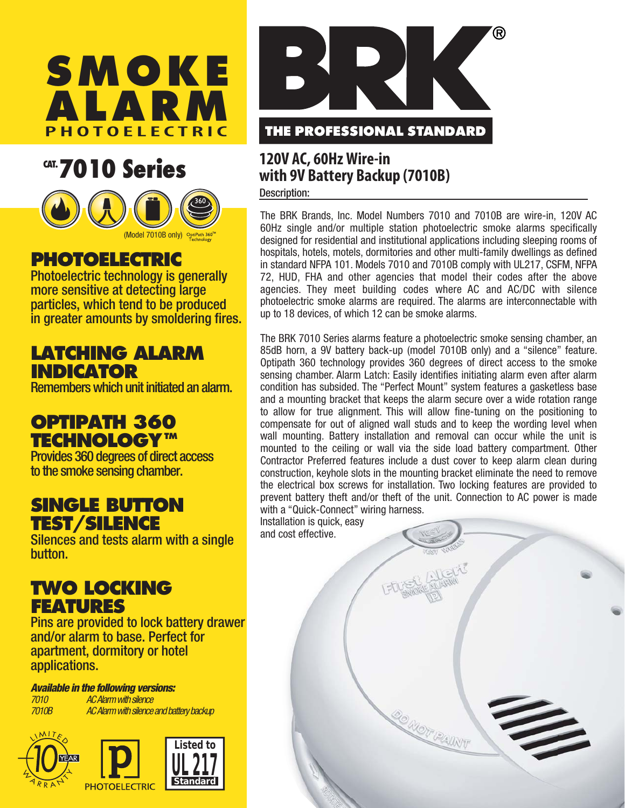

## **CAT. 7010 Series**



## **PHOTOELECTRIC**

Photoelectric technology is generally more sensitive at detecting large particles, which tend to be produced in greater amounts by smoldering fires.

### **LATCHING ALARM INDICATOR**

Remembers which unit initiated an alarm.

## **OPTIPATH 360 TECHNOLOGYTM**

Provides 360 degrees of direct access to the smoke sensing chamber.

#### **SINGLE BUTTON TEST/SILENCE**

Silences and tests alarm with a single button.

#### **TWO LOCKING FEATURES**

Pins are provided to lock battery drawer and/or alarm to base. Perfect for apartment, dormitory or hotel applications.

*Available in the following versions: 7010 AC Alarm with silence*

*7010B AC Alarm with silence and battery backup*





# **120V AC, 60Hz Wire-in**

## **with 9V Battery Backup (7010B)**

Description:

The BRK Brands, Inc. Model Numbers 7010 and 7010B are wire-in, 120V AC 60Hz single and/or multiple station photoelectric smoke alarms specifically designed for residential and institutional applications including sleeping rooms of hospitals, hotels, motels, dormitories and other multi-family dwellings as defined in standard NFPA 101. Models 7010 and 7010B comply with UL217, CSFM, NFPA 72, HUD, FHA and other agencies that model their codes after the above agencies. They meet building codes where AC and AC/DC with silence photoelectric smoke alarms are required. The alarms are interconnectable with up to 18 devices, of which 12 can be smoke alarms.

The BRK 7010 Series alarms feature a photoelectric smoke sensing chamber, an 85dB horn, a 9V battery back-up (model 7010B only) and a "silence" feature. Optipath 360 technology provides 360 degrees of direct access to the smoke sensing chamber. Alarm Latch: Easily identifies initiating alarm even after alarm condition has subsided. The "Perfect Mount" system features a gasketless base and a mounting bracket that keeps the alarm secure over a wide rotation range to allow for true alignment. This will allow fine-tuning on the positioning to compensate for out of aligned wall studs and to keep the wording level when wall mounting. Battery installation and removal can occur while the unit is mounted to the ceiling or wall via the side load battery compartment. Other Contractor Preferred features include a dust cover to keep alarm clean during construction, keyhole slots in the mounting bracket eliminate the need to remove the electrical box screws for installation. Two locking features are provided to prevent battery theft and/or theft of the unit. Connection to AC power is made with a "Quick-Connect" wiring harness.

**20 MOT PAINT** 

兰

Installation is quick, easy and cost effective.